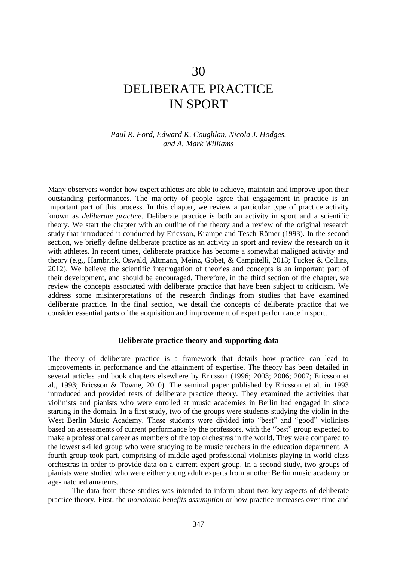## 30

# DELIBERATE PRACTICE IN SPORT

#### *Paul R. Ford, Edward K. Coughlan, Nicola J. Hodges, and A. Mark Williams*

Many observers wonder how expert athletes are able to achieve, maintain and improve upon their outstanding performances. The majority of people agree that engagement in practice is an important part of this process. In this chapter, we review a particular type of practice activity known as *deliberate practice*. Deliberate practice is both an activity in sport and a scientific theory. We start the chapter with an outline of the theory and a review of the original research study that introduced it conducted by Ericsson, Krampe and Tesch-Römer (1993). In the second section, we briefly define deliberate practice as an activity in sport and review the research on it with athletes. In recent times, deliberate practice has become a somewhat maligned activity and theory (e.g., Hambrick, Oswald, Altmann, Meinz, Gobet, & Campitelli, 2013; Tucker & Collins, 2012). We believe the scientific interrogation of theories and concepts is an important part of their development, and should be encouraged. Therefore, in the third section of the chapter, we review the concepts associated with deliberate practice that have been subject to criticism. We address some misinterpretations of the research findings from studies that have examined deliberate practice. In the final section, we detail the concepts of deliberate practice that we consider essential parts of the acquisition and improvement of expert performance in sport.

#### **Deliberate practice theory and supporting data**

The theory of deliberate practice is a framework that details how practice can lead to improvements in performance and the attainment of expertise. The theory has been detailed in several articles and book chapters elsewhere by Ericsson (1996; 2003; 2006; 2007; Ericsson et al., 1993; Ericsson & Towne, 2010). The seminal paper published by Ericsson et al. in 1993 introduced and provided tests of deliberate practice theory. They examined the activities that violinists and pianists who were enrolled at music academies in Berlin had engaged in since starting in the domain. In a first study, two of the groups were students studying the violin in the West Berlin Music Academy. These students were divided into "best" and "good" violinists based on assessments of current performance by the professors, with the "best" group expected to make a professional career as members of the top orchestras in the world. They were compared to the lowest skilled group who were studying to be music teachers in the education department. A fourth group took part, comprising of middle-aged professional violinists playing in world-class orchestras in order to provide data on a current expert group. In a second study, two groups of pianists were studied who were either young adult experts from another Berlin music academy or age-matched amateurs.

The data from these studies was intended to inform about two key aspects of deliberate practice theory. First, the *monotonic benefits assumption* or how practice increases over time and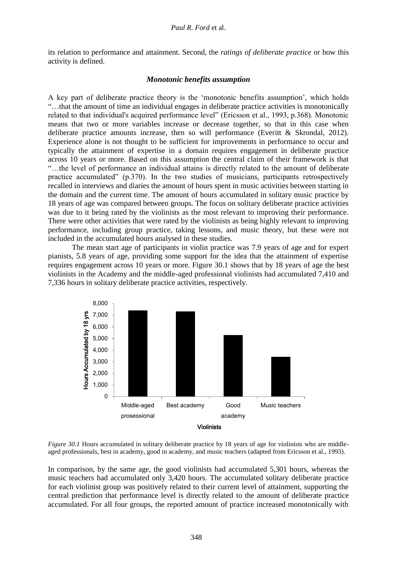its relation to performance and attainment. Second, the *ratings of deliberate practice* or how this activity is defined.

#### *Monotonic benefits assumption*

A key part of deliberate practice theory is the 'monotonic benefits assumption', which holds "…that the amount of time an individual engages in deliberate practice activities is monotonically related to that individual's acquired performance level" (Ericsson et al., 1993, p.368). Monotonic means that two or more variables increase or decrease together, so that in this case when deliberate practice amounts increase, then so will performance (Everitt & Skrondal, 2012). Experience alone is not thought to be sufficient for improvements in performance to occur and typically the attainment of expertise in a domain requires engagement in deliberate practice across 10 years or more. Based on this assumption the central claim of their framework is that "…the level of performance an individual attains is directly related to the amount of deliberate practice accumulated" (p.370). In the two studies of musicians, participants retrospectively recalled in interviews and diaries the amount of hours spent in music activities between starting in the domain and the current time. The amount of hours accumulated in solitary music practice by 18 years of age was compared between groups. The focus on solitary deliberate practice activities was due to it being rated by the violinists as the most relevant to improving their performance. There were other activities that were rated by the violinists as being highly relevant to improving performance, including group practice, taking lessons, and music theory, but these were not included in the accumulated hours analysed in these studies.

The mean start age of participants in violin practice was 7.9 years of age and for expert pianists, 5.8 years of age, providing some support for the idea that the attainment of expertise requires engagement across 10 years or more. Figure 30.1 shows that by 18 years of age the best violinists in the Academy and the middle-aged professional violinists had accumulated 7,410 and 7,336 hours in solitary deliberate practice activities, respectively.



*Figure 30.1* Hours accumulated in solitary deliberate practice by 18 years of age for violinists who are middleaged professionals, best in academy, good in academy, and music teachers (adapted from Ericsson et al., 1993).

In comparison, by the same age, the good violinists had accumulated 5,301 hours, whereas the music teachers had accumulated only 3,420 hours. The accumulated solitary deliberate practice for each violinist group was positively related to their current level of attainment, supporting the central prediction that performance level is directly related to the amount of deliberate practice accumulated. For all four groups, the reported amount of practice increased monotonically with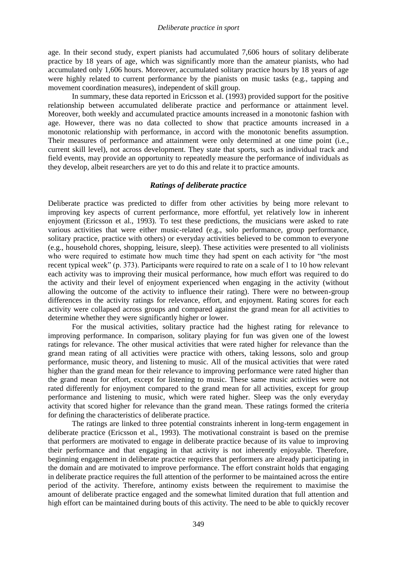age. In their second study, expert pianists had accumulated 7,606 hours of solitary deliberate practice by 18 years of age, which was significantly more than the amateur pianists, who had accumulated only 1,606 hours. Moreover, accumulated solitary practice hours by 18 years of age were highly related to current performance by the pianists on music tasks (e.g., tapping and movement coordination measures), independent of skill group.

In summary, these data reported in Ericsson et al. (1993) provided support for the positive relationship between accumulated deliberate practice and performance or attainment level. Moreover, both weekly and accumulated practice amounts increased in a monotonic fashion with age. However, there was no data collected to show that practice amounts increased in a monotonic relationship with performance, in accord with the monotonic benefits assumption. Their measures of performance and attainment were only determined at one time point (i.e., current skill level), not across development. They state that sports, such as individual track and field events, may provide an opportunity to repeatedly measure the performance of individuals as they develop, albeit researchers are yet to do this and relate it to practice amounts.

#### *Ratings of deliberate practice*

Deliberate practice was predicted to differ from other activities by being more relevant to improving key aspects of current performance, more effortful, yet relatively low in inherent enjoyment (Ericsson et al., 1993). To test these predictions, the musicians were asked to rate various activities that were either music-related (e.g., solo performance, group performance, solitary practice, practice with others) or everyday activities believed to be common to everyone (e.g., household chores, shopping, leisure, sleep). These activities were presented to all violinists who were required to estimate how much time they had spent on each activity for "the most recent typical week" (p. 373). Participants were required to rate on a scale of 1 to 10 how relevant each activity was to improving their musical performance, how much effort was required to do the activity and their level of enjoyment experienced when engaging in the activity (without allowing the outcome of the activity to influence their rating). There were no between-group differences in the activity ratings for relevance, effort, and enjoyment. Rating scores for each activity were collapsed across groups and compared against the grand mean for all activities to determine whether they were significantly higher or lower.

For the musical activities, solitary practice had the highest rating for relevance to improving performance. In comparison, solitary playing for fun was given one of the lowest ratings for relevance. The other musical activities that were rated higher for relevance than the grand mean rating of all activities were practice with others, taking lessons, solo and group performance, music theory, and listening to music. All of the musical activities that were rated higher than the grand mean for their relevance to improving performance were rated higher than the grand mean for effort, except for listening to music. These same music activities were not rated differently for enjoyment compared to the grand mean for all activities, except for group performance and listening to music, which were rated higher. Sleep was the only everyday activity that scored higher for relevance than the grand mean. These ratings formed the criteria for defining the characteristics of deliberate practice.

The ratings are linked to three potential constraints inherent in long-term engagement in deliberate practice (Ericsson et al., 1993). The motivational constraint is based on the premise that performers are motivated to engage in deliberate practice because of its value to improving their performance and that engaging in that activity is not inherently enjoyable. Therefore, beginning engagement in deliberate practice requires that performers are already participating in the domain and are motivated to improve performance. The effort constraint holds that engaging in deliberate practice requires the full attention of the performer to be maintained across the entire period of the activity. Therefore, antinomy exists between the requirement to maximise the amount of deliberate practice engaged and the somewhat limited duration that full attention and high effort can be maintained during bouts of this activity. The need to be able to quickly recover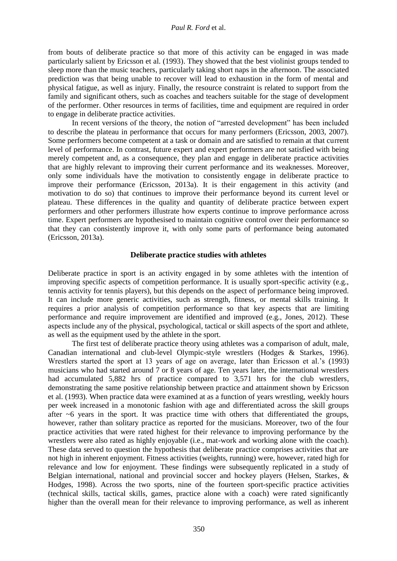#### *Paul R. Ford* et al.

from bouts of deliberate practice so that more of this activity can be engaged in was made particularly salient by Ericsson et al. (1993). They showed that the best violinist groups tended to sleep more than the music teachers, particularly taking short naps in the afternoon. The associated prediction was that being unable to recover will lead to exhaustion in the form of mental and physical fatigue, as well as injury. Finally, the resource constraint is related to support from the family and significant others, such as coaches and teachers suitable for the stage of development of the performer. Other resources in terms of facilities, time and equipment are required in order to engage in deliberate practice activities.

In recent versions of the theory, the notion of "arrested development" has been included to describe the plateau in performance that occurs for many performers (Ericsson, 2003, 2007). Some performers become competent at a task or domain and are satisfied to remain at that current level of performance. In contrast, future expert and expert performers are not satisfied with being merely competent and, as a consequence, they plan and engage in deliberate practice activities that are highly relevant to improving their current performance and its weaknesses. Moreover, only some individuals have the motivation to consistently engage in deliberate practice to improve their performance (Ericsson, 2013a). It is their engagement in this activity (and motivation to do so) that continues to improve their performance beyond its current level or plateau. These differences in the quality and quantity of deliberate practice between expert performers and other performers illustrate how experts continue to improve performance across time. Expert performers are hypothesised to maintain cognitive control over their performance so that they can consistently improve it, with only some parts of performance being automated (Ericsson, 2013a).

#### **Deliberate practice studies with athletes**

Deliberate practice in sport is an activity engaged in by some athletes with the intention of improving specific aspects of competition performance. It is usually sport-specific activity (e.g., tennis activity for tennis players), but this depends on the aspect of performance being improved. It can include more generic activities, such as strength, fitness, or mental skills training. It requires a prior analysis of competition performance so that key aspects that are limiting performance and require improvement are identified and improved (e.g., Jones, 2012). These aspects include any of the physical, psychological, tactical or skill aspects of the sport and athlete, as well as the equipment used by the athlete in the sport.

The first test of deliberate practice theory using athletes was a comparison of adult, male, Canadian international and club-level Olympic-style wrestlers (Hodges & Starkes, 1996). Wrestlers started the sport at 13 years of age on average, later than Ericsson et al.'s (1993) musicians who had started around 7 or 8 years of age. Ten years later, the international wrestlers had accumulated 5,882 hrs of practice compared to 3,571 hrs for the club wrestlers, demonstrating the same positive relationship between practice and attainment shown by Ericsson et al. (1993). When practice data were examined at as a function of years wrestling, weekly hours per week increased in a monotonic fashion with age and differentiated across the skill groups after  $~6$  years in the sport. It was practice time with others that differentiated the groups, however, rather than solitary practice as reported for the musicians. Moreover, two of the four practice activities that were rated highest for their relevance to improving performance by the wrestlers were also rated as highly enjoyable (i.e., mat-work and working alone with the coach). These data served to question the hypothesis that deliberate practice comprises activities that are not high in inherent enjoyment. Fitness activities (weights, running) were, however, rated high for relevance and low for enjoyment. These findings were subsequently replicated in a study of Belgian international, national and provincial soccer and hockey players (Helsen, Starkes, & Hodges, 1998). Across the two sports, nine of the fourteen sport-specific practice activities (technical skills, tactical skills, games, practice alone with a coach) were rated significantly higher than the overall mean for their relevance to improving performance, as well as inherent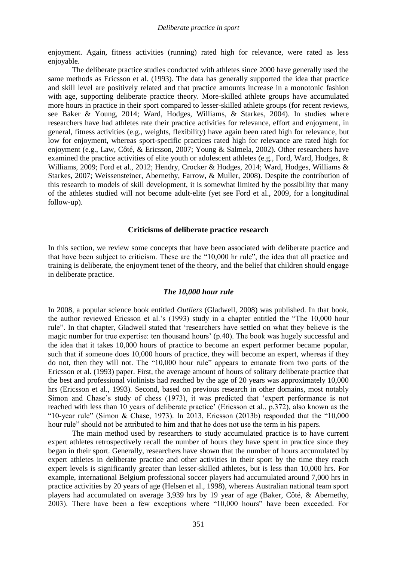enjoyment. Again, fitness activities (running) rated high for relevance, were rated as less enjoyable.

The deliberate practice studies conducted with athletes since 2000 have generally used the same methods as Ericsson et al. (1993). The data has generally supported the idea that practice and skill level are positively related and that practice amounts increase in a monotonic fashion with age, supporting deliberate practice theory. More-skilled athlete groups have accumulated more hours in practice in their sport compared to lesser-skilled athlete groups (for recent reviews, see Baker & Young, 2014; Ward, Hodges, Williams, & Starkes, 2004). In studies where researchers have had athletes rate their practice activities for relevance, effort and enjoyment, in general, fitness activities (e.g., weights, flexibility) have again been rated high for relevance, but low for enjoyment, whereas sport-specific practices rated high for relevance are rated high for enjoyment (e.g., Law, Côté, & Ericsson, 2007; Young & Salmela, 2002). Other researchers have examined the practice activities of elite youth or adolescent athletes (e.g., Ford, Ward, Hodges, & Williams, 2009; Ford et al., 2012; Hendry, Crocker & Hodges, 2014; Ward, Hodges, Williams & Starkes, 2007; Weissensteiner, Abernethy, Farrow, & Muller, 2008). Despite the contribution of this research to models of skill development, it is somewhat limited by the possibility that many of the athletes studied will not become adult-elite (yet see Ford et al., 2009, for a longitudinal follow-up).

#### **Criticisms of deliberate practice research**

In this section, we review some concepts that have been associated with deliberate practice and that have been subject to criticism. These are the "10,000 hr rule", the idea that all practice and training is deliberate, the enjoyment tenet of the theory, and the belief that children should engage in deliberate practice.

#### *The 10,000 hour rule*

In 2008, a popular science book entitled *Outliers* (Gladwell, 2008) was published. In that book, the author reviewed Ericsson et al.'s (1993) study in a chapter entitled the "The 10,000 hour rule". In that chapter, Gladwell stated that 'researchers have settled on what they believe is the magic number for true expertise: ten thousand hours' (p.40). The book was hugely successful and the idea that it takes 10,000 hours of practice to become an expert performer became popular, such that if someone does 10,000 hours of practice, they will become an expert, whereas if they do not, then they will not. The "10,000 hour rule" appears to emanate from two parts of the Ericsson et al. (1993) paper. First, the average amount of hours of solitary deliberate practice that the best and professional violinists had reached by the age of 20 years was approximately 10,000 hrs (Ericsson et al., 1993). Second, based on previous research in other domains, most notably Simon and Chase's study of chess (1973), it was predicted that 'expert performance is not reached with less than 10 years of deliberate practice' (Ericsson et al., p.372), also known as the "10-year rule" (Simon & Chase, 1973). In 2013, Ericsson (2013b) responded that the "10,000 hour rule" should not be attributed to him and that he does not use the term in his papers.

The main method used by researchers to study accumulated practice is to have current expert athletes retrospectively recall the number of hours they have spent in practice since they began in their sport. Generally, researchers have shown that the number of hours accumulated by expert athletes in deliberate practice and other activities in their sport by the time they reach expert levels is significantly greater than lesser-skilled athletes, but is less than 10,000 hrs. For example, international Belgium professional soccer players had accumulated around 7,000 hrs in practice activities by 20 years of age (Helsen et al., 1998), whereas Australian national team sport players had accumulated on average 3,939 hrs by 19 year of age (Baker, Côté, & Abernethy, 2003). There have been a few exceptions where "10,000 hours" have been exceeded. For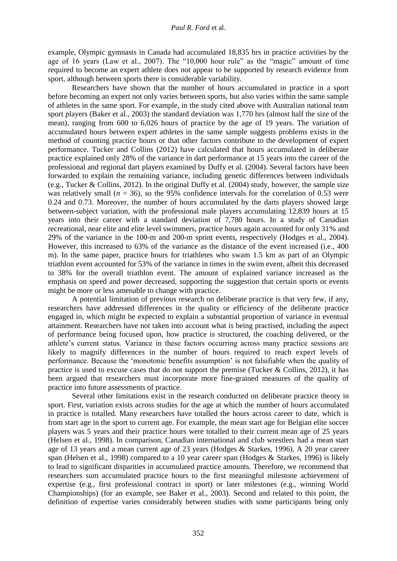example, Olympic gymnasts in Canada had accumulated 18,835 hrs in practice activities by the age of 16 years (Law et al., 2007). The "10,000 hour rule" as the "magic" amount of time required to become an expert athlete does not appear to be supported by research evidence from sport, although between sports there is considerable variability.

Researchers have shown that the number of hours accumulated in practice in a sport before becoming an expert not only varies between sports, but also varies within the same sample of athletes in the same sport. For example, in the study cited above with Australian national team sport players (Baker et al., 2003) the standard deviation was 1,770 hrs (almost half the size of the mean), ranging from 600 to 6,026 hours of practice by the age of 19 years. The variation of accumulated hours between expert athletes in the same sample suggests problems exists in the method of counting practice hours or that other factors contribute to the development of expert performance. Tucker and Collins (2012) have calculated that hours accumulated in deliberate practice explained only 28% of the variance in dart performance at 15 years into the career of the professional and regional dart players examined by Duffy et al. (2004). Several factors have been forwarded to explain the remaining variance, including genetic differences between individuals (e.g., Tucker & Collins, 2012). In the original Duffy et al. (2004) study, however, the sample size was relatively small ( $n = 36$ ), so the 95% confidence intervals for the correlation of 0.53 were 0.24 and 0.73. Moreover, the number of hours accumulated by the darts players showed large between-subject variation, with the professional male players accumulating 12,839 hours at 15 years into their career with a standard deviation of 7,780 hours. In a study of Canadian recreational, near elite and elite level swimmers, practice hours again accounted for only 31% and 29% of the variance in the 100-m and 200-m sprint events, respectively (Hodges et al., 2004). However, this increased to 63% of the variance as the distance of the event increased (i.e., 400 m). In the same paper, practice hours for triathletes who swam 1.5 km as part of an Olympic triathlon event accounted for 53% of the variance in times in the swim event, albeit this decreased to 38% for the overall triathlon event. The amount of explained variance increased as the emphasis on speed and power decreased, supporting the suggestion that certain sports or events might be more or less amenable to change with practice.

A potential limitation of previous research on deliberate practice is that very few, if any, researchers have addressed differences in the quality or efficiency of the deliberate practice engaged in, which might be expected to explain a substantial proportion of variance in eventual attainment. Researchers have not taken into account what is being practised, including the aspect of performance being focused upon, how practice is structured, the coaching delivered, or the athlete's current status. Variance in these factors occurring across many practice sessions are likely to magnify differences in the number of hours required to reach expert levels of performance. Because the 'monotonic benefits assumption' is not falsifiable when the quality of practice is used to excuse cases that do not support the premise (Tucker & Collins, 2012), it has been argued that researchers must incorporate more fine-grained measures of the quality of practice into future assessments of practice.

Several other limitations exist in the research conducted on deliberate practice theory in sport. First, variation exists across studies for the age at which the number of hours accumulated in practice is totalled. Many researchers have totalled the hours across career to date, which is from start age in the sport to current age. For example, the mean start age for Belgian elite soccer players was 5 years and their practice hours were totalled to their current mean age of 25 years (Helsen et al., 1998). In comparison, Canadian international and club wrestlers had a mean start age of 13 years and a mean current age of 23 years (Hodges & Starkes, 1996). A 20 year career span (Helsen et al., 1998) compared to a 10 year career span (Hodges & Starkes, 1996) is likely to lead to significant disparities in accumulated practice amounts. Therefore, we recommend that researchers sum accumulated practice hours to the first meaningful milestone achievement of expertise (e.g., first professional contract in sport) or later milestones (e.g., winning World Championships) (for an example, see Baker et al., 2003). Second and related to this point, the definition of expertise varies considerably between studies with some participants being only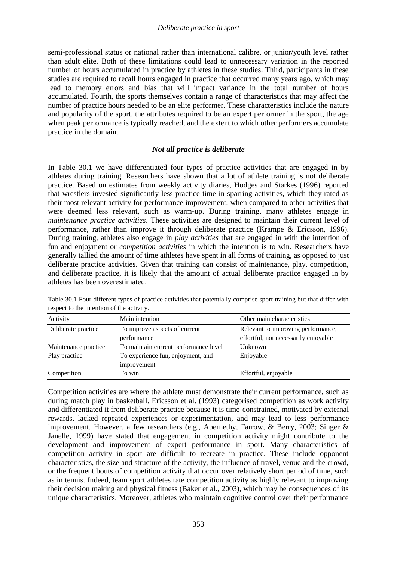semi-professional status or national rather than international calibre, or junior/youth level rather than adult elite. Both of these limitations could lead to unnecessary variation in the reported number of hours accumulated in practice by athletes in these studies. Third, participants in these studies are required to recall hours engaged in practice that occurred many years ago, which may lead to memory errors and bias that will impact variance in the total number of hours accumulated. Fourth, the sports themselves contain a range of characteristics that may affect the number of practice hours needed to be an elite performer. These characteristics include the nature and popularity of the sport, the attributes required to be an expert performer in the sport, the age when peak performance is typically reached, and the extent to which other performers accumulate practice in the domain.

## *Not all practice is deliberate*

In Table 30.1 we have differentiated four types of practice activities that are engaged in by athletes during training. Researchers have shown that a lot of athlete training is not deliberate practice. Based on estimates from weekly activity diaries, Hodges and Starkes (1996) reported that wrestlers invested significantly less practice time in sparring activities, which they rated as their most relevant activity for performance improvement, when compared to other activities that were deemed less relevant, such as warm-up. During training, many athletes engage in *maintenance practice activities*. These activities are designed to maintain their current level of performance, rather than improve it through deliberate practice (Krampe & Ericsson, 1996). During training, athletes also engage in *play activities* that are engaged in with the intention of fun and enjoyment or *competition activities* in which the intention is to win. Researchers have generally tallied the amount of time athletes have spent in all forms of training, as opposed to just deliberate practice activities. Given that training can consist of maintenance, play, competition, and deliberate practice, it is likely that the amount of actual deliberate practice engaged in by athletes has been overestimated.

| Activity             | Main intention                        | Other main characteristics           |
|----------------------|---------------------------------------|--------------------------------------|
| Deliberate practice  | To improve aspects of current         | Relevant to improving performance,   |
|                      | performance                           | effortful, not necessarily enjoyable |
| Maintenance practice | To maintain current performance level | Unknown                              |
| Play practice        | To experience fun, enjoyment, and     | Enjoyable                            |
|                      | improvement                           |                                      |
| Competition          | To win                                | Effortful, enjoyable                 |

Table 30.1 Four different types of practice activities that potentially comprise sport training but that differ with respect to the intention of the activity.

Competition activities are where the athlete must demonstrate their current performance, such as during match play in basketball. Ericsson et al. (1993) categorised competition as work activity and differentiated it from deliberate practice because it is time-constrained, motivated by external rewards, lacked repeated experiences or experimentation, and may lead to less performance improvement. However, a few researchers (e.g., Abernethy, Farrow, & Berry, 2003; Singer & Janelle, 1999) have stated that engagement in competition activity might contribute to the development and improvement of expert performance in sport. Many characteristics of competition activity in sport are difficult to recreate in practice. These include opponent characteristics, the size and structure of the activity, the influence of travel, venue and the crowd, or the frequent bouts of competition activity that occur over relatively short period of time, such as in tennis. Indeed, team sport athletes rate competition activity as highly relevant to improving their decision making and physical fitness (Baker et al., 2003), which may be consequences of its unique characteristics. Moreover, athletes who maintain cognitive control over their performance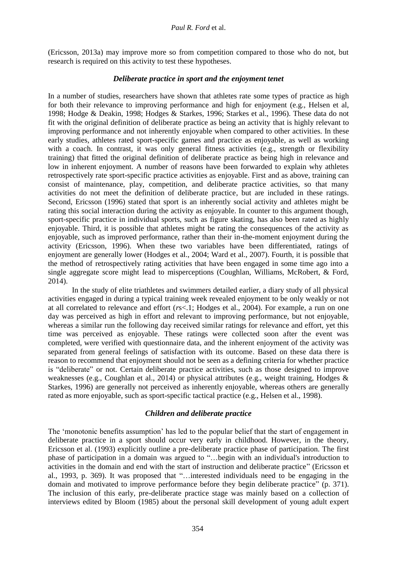(Ericsson, 2013a) may improve more so from competition compared to those who do not, but research is required on this activity to test these hypotheses.

### *Deliberate practice in sport and the enjoyment tenet*

In a number of studies, researchers have shown that athletes rate some types of practice as high for both their relevance to improving performance and high for enjoyment (e.g., Helsen et al, 1998; Hodge & Deakin, 1998; Hodges & Starkes, 1996; Starkes et al., 1996). These data do not fit with the original definition of deliberate practice as being an activity that is highly relevant to improving performance and not inherently enjoyable when compared to other activities. In these early studies, athletes rated sport-specific games and practice as enjoyable, as well as working with a coach. In contrast, it was only general fitness activities (e.g., strength or flexibility training) that fitted the original definition of deliberate practice as being high in relevance and low in inherent enjoyment. A number of reasons have been forwarded to explain why athletes retrospectively rate sport-specific practice activities as enjoyable. First and as above, training can consist of maintenance, play, competition, and deliberate practice activities, so that many activities do not meet the definition of deliberate practice, but are included in these ratings. Second, Ericsson (1996) stated that sport is an inherently social activity and athletes might be rating this social interaction during the activity as enjoyable. In counter to this argument though, sport-specific practice in individual sports, such as figure skating, has also been rated as highly enjoyable. Third, it is possible that athletes might be rating the consequences of the activity as enjoyable, such as improved performance, rather than their in-the-moment enjoyment during the activity (Ericsson, 1996). When these two variables have been differentiated, ratings of enjoyment are generally lower (Hodges et al., 2004; Ward et al., 2007). Fourth, it is possible that the method of retrospectively rating activities that have been engaged in some time ago into a single aggregate score might lead to misperceptions (Coughlan, Williams, McRobert, & Ford, 2014).

In the study of elite triathletes and swimmers detailed earlier, a diary study of all physical activities engaged in during a typical training week revealed enjoyment to be only weakly or not at all correlated to relevance and effort (*r*s<.1; Hodges et al., 2004). For example, a run on one day was perceived as high in effort and relevant to improving performance, but not enjoyable, whereas a similar run the following day received similar ratings for relevance and effort, yet this time was perceived as enjoyable. These ratings were collected soon after the event was completed, were verified with questionnaire data, and the inherent enjoyment of the activity was separated from general feelings of satisfaction with its outcome. Based on these data there is reason to recommend that enjoyment should not be seen as a defining criteria for whether practice is "deliberate" or not. Certain deliberate practice activities, such as those designed to improve weaknesses (e.g., Coughlan et al., 2014) or physical attributes (e.g., weight training, Hodges & Starkes, 1996) are generally not perceived as inherently enjoyable, whereas others are generally rated as more enjoyable, such as sport-specific tactical practice (e.g., Helsen et al., 1998).

## *Children and deliberate practice*

The 'monotonic benefits assumption' has led to the popular belief that the start of engagement in deliberate practice in a sport should occur very early in childhood. However, in the theory, Ericsson et al. (1993) explicitly outline a pre-deliberate practice phase of participation. The first phase of participation in a domain was argued to "…begin with an individual's introduction to activities in the domain and end with the start of instruction and deliberate practice" (Ericsson et al., 1993, p. 369). It was proposed that "…interested individuals need to be engaging in the domain and motivated to improve performance before they begin deliberate practice" (p. 371). The inclusion of this early, pre-deliberate practice stage was mainly based on a collection of interviews edited by Bloom (1985) about the personal skill development of young adult expert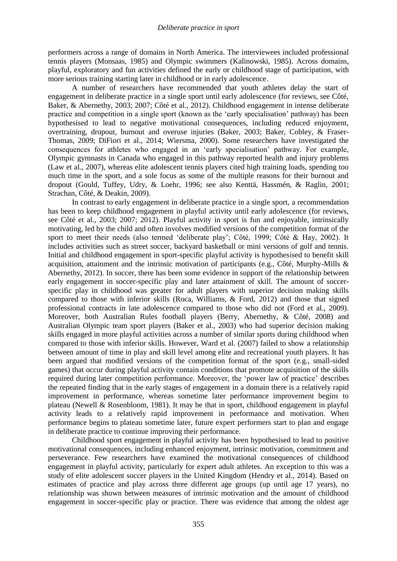performers across a range of domains in North America. The interviewees included professional tennis players (Monsaas, 1985) and Olympic swimmers (Kalinowski, 1985). Across domains, playful, exploratory and fun activities defined the early or childhood stage of participation, with more serious training starting later in childhood or in early adolescence.

A number of researchers have recommended that youth athletes delay the start of engagement in deliberate practice in a single sport until early adolescence (for reviews, see Côté, Baker, & Abernethy, 2003; 2007; Côté et al., 2012). Childhood engagement in intense deliberate practice and competition in a single sport (known as the 'early specialisation' pathway) has been hypothesised to lead to negative motivational consequences, including reduced enjoyment, overtraining, dropout, burnout and overuse injuries (Baker, 2003; Baker, Cobley, & Fraser-Thomas, 2009; DiFiori et al., 2014; Wiersma, 2000). Some researchers have investigated the consequences for athletes who engaged in an 'early specialisation' pathway. For example, Olympic gymnasts in Canada who engaged in this pathway reported health and injury problems (Law et al., 2007), whereas elite adolescent tennis players cited high training loads, spending too much time in the sport, and a sole focus as some of the multiple reasons for their burnout and dropout (Gould, Tuffey, Udry, & Loehr, 1996; see also Kenttä, Hassmén, & Raglin, 2001; Strachan, Côté, & Deakin, 2009).

In contrast to early engagement in deliberate practice in a single sport, a recommendation has been to keep childhood engagement in playful activity until early adolescence (for reviews, see Côté et al., 2003; 2007; 2012). Playful activity in sport is fun and enjoyable, intrinsically motivating, led by the child and often involves modified versions of the competition format of the sport to meet their needs (also termed 'deliberate play'; Côté, 1999; Côté & Hay, 2002). It includes activities such as street soccer, backyard basketball or mini versions of golf and tennis. Initial and childhood engagement in sport-specific playful activity is hypothesised to benefit skill acquisition, attainment and the intrinsic motivation of participants (e.g., Côté, Murphy-Mills & Abernethy, 2012). In soccer, there has been some evidence in support of the relationship between early engagement in soccer-specific play and later attainment of skill. The amount of soccerspecific play in childhood was greater for adult players with superior decision making skills compared to those with inferior skills (Roca, Williams, & Ford, 2012) and those that signed professional contracts in late adolescence compared to those who did not (Ford et al., 2009). Moreover, both Australian Rules football players (Berry, Abernethy, & Côté, 2008) and Australian Olympic team sport players (Baker et al., 2003) who had superior decision making skills engaged in more playful activities across a number of similar sports during childhood when compared to those with inferior skills. However, Ward et al. (2007) failed to show a relationship between amount of time in play and skill level among elite and recreational youth players. It has been argued that modified versions of the competition format of the sport (e.g., small-sided games) that occur during playful activity contain conditions that promote acquisition of the skills required during later competition performance. Moreover, the 'power law of practice' describes the repeated finding that in the early stages of engagement in a domain there is a relatively rapid improvement in performance, whereas sometime later performance improvement begins to plateau (Newell & Rosenbloom, 1981). It may be that in sport, childhood engagement in playful activity leads to a relatively rapid improvement in performance and motivation. When performance begins to plateau sometime later, future expert performers start to plan and engage in deliberate practice to continue improving their performance.

Childhood sport engagement in playful activity has been hypothesised to lead to positive motivational consequences, including enhanced enjoyment, intrinsic motivation, commitment and perseverance. Few researchers have examined the motivational consequences of childhood engagement in playful activity, particularly for expert adult athletes. An exception to this was a study of elite adolescent soccer players in the United Kingdom (Hendry et al., 2014). Based on estimates of practice and play across three different age groups (up until age 17 years), no relationship was shown between measures of intrinsic motivation and the amount of childhood engagement in soccer-specific play or practice. There was evidence that among the oldest age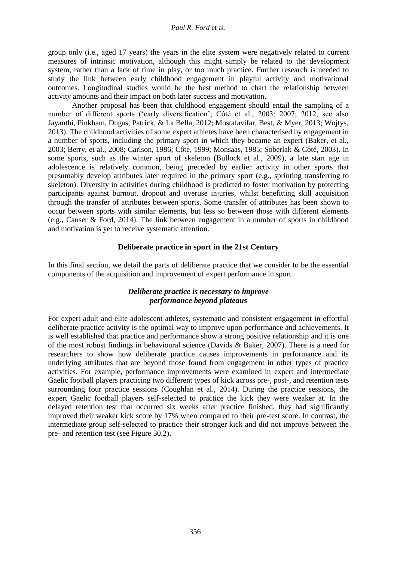group only (i.e., aged 17 years) the years in the elite system were negatively related to current measures of intrinsic motivation, although this might simply be related to the development system, rather than a lack of time in play, or too much practice. Further research is needed to study the link between early childhood engagement in playful activity and motivational outcomes. Longitudinal studies would be the best method to chart the relationship between activity amounts and their impact on both later success and motivation.

Another proposal has been that childhood engagement should entail the sampling of a number of different sports ('early diversification'; Côté et al., 2003; 2007; 2012, see also Jayanthi, Pinkham, Dugas, Patrick, & La Bella, 2012; Mostafavifar, Best, & Myer, 2013; Wojtys, 2013). The childhood activities of some expert athletes have been characterised by engagement in a number of sports, including the primary sport in which they became an expert (Baker, et al., 2003; Berry, et al., 2008; Carlson, 1986; Côté, 1999; Monsaas, 1985; Soberlak & Côté, 2003). In some sports, such as the winter sport of skeleton (Bullock et al., 2009), a late start age in adolescence is relatively common, being preceded by earlier activity in other sports that presumably develop attributes later required in the primary sport (e.g., sprinting transferring to skeleton). Diversity in activities during childhood is predicted to foster motivation by protecting participants against burnout, dropout and overuse injuries, whilst benefitting skill acquisition through the transfer of attributes between sports. Some transfer of attributes has been shown to occur between sports with similar elements, but less so between those with different elements (e.g., Causer & Ford, 2014). The link between engagement in a number of sports in childhood and motivation is yet to receive systematic attention.

## **Deliberate practice in sport in the 21st Century**

In this final section, we detail the parts of deliberate practice that we consider to be the essential components of the acquisition and improvement of expert performance in sport.

## *Deliberate practice is necessary to improve performance beyond plateaus*

For expert adult and elite adolescent athletes, systematic and consistent engagement in effortful deliberate practice activity is the optimal way to improve upon performance and achievements. It is well established that practice and performance show a strong positive relationship and it is one of the most robust findings in behavioural science (Davids & Baker, 2007). There is a need for researchers to show how deliberate practice causes improvements in performance and its underlying attributes that are beyond those found from engagement in other types of practice activities. For example, performance improvements were examined in expert and intermediate Gaelic football players practicing two different types of kick across pre-, post-, and retention tests surrounding four practice sessions (Coughlan et al., 2014). During the practice sessions, the expert Gaelic football players self-selected to practice the kick they were weaker at. In the delayed retention test that occurred six weeks after practice finished, they had significantly improved their weaker kick score by 17% when compared to their pre-test score. In contrast, the intermediate group self-selected to practice their stronger kick and did not improve between the pre- and retention test (see Figure 30.2).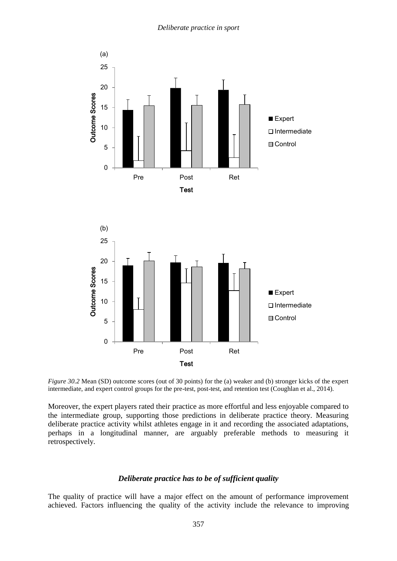

*Figure 30.2* Mean (SD) outcome scores (out of 30 points) for the (a) weaker and (b) stronger kicks of the expert intermediate, and expert control groups for the pre-test, post-test, and retention test (Coughlan et al., 2014).

Moreover, the expert players rated their practice as more effortful and less enjoyable compared to the intermediate group, supporting those predictions in deliberate practice theory. Measuring deliberate practice activity whilst athletes engage in it and recording the associated adaptations, perhaps in a longitudinal manner, are arguably preferable methods to measuring it retrospectively.

#### *Deliberate practice has to be of sufficient quality*

The quality of practice will have a major effect on the amount of performance improvement achieved. Factors influencing the quality of the activity include the relevance to improving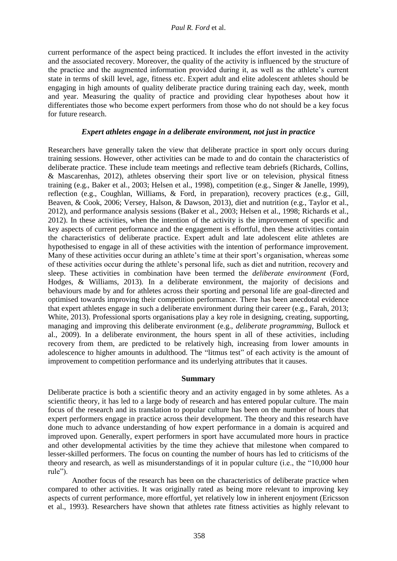current performance of the aspect being practiced. It includes the effort invested in the activity and the associated recovery. Moreover, the quality of the activity is influenced by the structure of the practice and the augmented information provided during it, as well as the athlete's current state in terms of skill level, age, fitness etc. Expert adult and elite adolescent athletes should be engaging in high amounts of quality deliberate practice during training each day, week, month and year. Measuring the quality of practice and providing clear hypotheses about how it differentiates those who become expert performers from those who do not should be a key focus for future research.

## *Expert athletes engage in a deliberate environment, not just in practice*

Researchers have generally taken the view that deliberate practice in sport only occurs during training sessions. However, other activities can be made to and do contain the characteristics of deliberate practice. These include team meetings and reflective team debriefs (Richards, Collins, & Mascarenhas, 2012), athletes observing their sport live or on television, physical fitness training (e.g., Baker et al., 2003; Helsen et al., 1998), competition (e.g., Singer & Janelle, 1999), reflection (e.g., Coughlan, Williams, & Ford, in preparation), recovery practices (e.g., Gill, Beaven, & Cook, 2006; Versey, Halson, & Dawson, 2013), diet and nutrition (e.g., Taylor et al., 2012), and performance analysis sessions (Baker et al., 2003; Helsen et al., 1998; Richards et al., 2012). In these activities, when the intention of the activity is the improvement of specific and key aspects of current performance and the engagement is effortful, then these activities contain the characteristics of deliberate practice. Expert adult and late adolescent elite athletes are hypothesised to engage in all of these activities with the intention of performance improvement. Many of these activities occur during an athlete's time at their sport's organisation, whereas some of these activities occur during the athlete's personal life, such as diet and nutrition, recovery and sleep. These activities in combination have been termed the *deliberate environment* (Ford, Hodges, & Williams, 2013)*.* In a deliberate environment, the majority of decisions and behaviours made by and for athletes across their sporting and personal life are goal-directed and optimised towards improving their competition performance. There has been anecdotal evidence that expert athletes engage in such a deliberate environment during their career (e.g., Farah, 2013; White, 2013). Professional sports organisations play a key role in designing, creating, supporting, managing and improving this deliberate environment (e.g., *deliberate programming*, Bullock et al., 2009). In a deliberate environment, the hours spent in all of these activities, including recovery from them, are predicted to be relatively high, increasing from lower amounts in adolescence to higher amounts in adulthood. The "litmus test" of each activity is the amount of improvement to competition performance and its underlying attributes that it causes.

## **Summary**

Deliberate practice is both a scientific theory and an activity engaged in by some athletes. As a scientific theory, it has led to a large body of research and has entered popular culture. The main focus of the research and its translation to popular culture has been on the number of hours that expert performers engage in practice across their development. The theory and this research have done much to advance understanding of how expert performance in a domain is acquired and improved upon. Generally, expert performers in sport have accumulated more hours in practice and other developmental activities by the time they achieve that milestone when compared to lesser-skilled performers. The focus on counting the number of hours has led to criticisms of the theory and research, as well as misunderstandings of it in popular culture (i.e., the "10,000 hour rule").

Another focus of the research has been on the characteristics of deliberate practice when compared to other activities. It was originally rated as being more relevant to improving key aspects of current performance, more effortful, yet relatively low in inherent enjoyment (Ericsson et al., 1993). Researchers have shown that athletes rate fitness activities as highly relevant to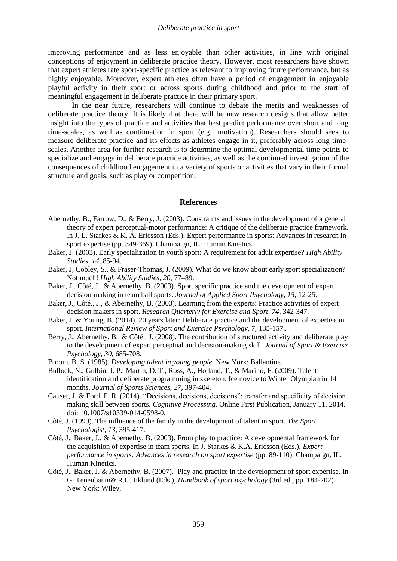improving performance and as less enjoyable than other activities, in line with original conceptions of enjoyment in deliberate practice theory. However, most researchers have shown that expert athletes rate sport-specific practice as relevant to improving future performance, but as highly enjoyable. Moreover, expert athletes often have a period of engagement in enjoyable playful activity in their sport or across sports during childhood and prior to the start of meaningful engagement in deliberate practice in their primary sport.

In the near future, researchers will continue to debate the merits and weaknesses of deliberate practice theory. It is likely that there will be new research designs that allow better insight into the types of practice and activities that best predict performance over short and long time-scales, as well as continuation in sport (e.g., motivation). Researchers should seek to measure deliberate practice and its effects as athletes engage in it, preferably across long timescales. Another area for further research is to determine the optimal developmental time points to specialize and engage in deliberate practice activities, as well as the continued investigation of the consequences of childhood engagement in a variety of sports or activities that vary in their formal structure and goals, such as play or competition.

#### **References**

- Abernethy, B., Farrow, D., & Berry, J. (2003). Constraints and issues in the development of a general theory of expert perceptual-motor performance: A critique of the deliberate practice framework. In J. L. Starkes & K. A. Ericsson (Eds.), Expert performance in sports: Advances in research in sport expertise (pp. 349-369). Champaign, IL: Human Kinetics.
- Baker, J. (2003). Early specialization in youth sport: A requirement for adult expertise? *High Ability Studies, 14*, 85-94.
- Baker, J, Cobley, S., & Fraser-Thomas, J. (2009). What do we know about early sport specialization? Not much! *High Ability Studies, 20*, 77–89.
- Baker, J., Côté, J., & Abernethy, B. (2003). Sport specific practice and the development of expert decision-making in team ball sports. *Journal of Applied Sport Psychology, 15,* 12-25.
- Baker, J., Côté., J., & Abernethy, B. (2003). Learning from the experts: Practice activities of expert decision makers in sport. *Research Quarterly for Exercise and Sport, 74*, 342-347.
- Baker, J. & Young, B. (2014). 20 years later: Deliberate practice and the development of expertise in sport. *International Review of Sport and Exercise Psychology, 7, 135-157...*
- Berry, J., Abernethy, B., & Côté., J. (2008). The contribution of structured activity and deliberate play to the development of expert perceptual and decision-making skill. *Journal of Sport & Exercise Psychology, 30,* 685-708.
- Bloom, B. S. (1985). *Developing talent in young people.* New York: Ballantine.
- Bullock, N., Gulbin, J. P., Martin, D. T., Ross, A., Holland, T., & Marino, F. (2009). Talent identification and deliberate programming in skeleton: Ice novice to Winter Olympian in 14 months. *Journal of Sports Sciences, 27*, 397-404.
- Causer, J. & Ford, P. R. (2014). "Decisions, decisions, decisions": transfer and specificity of decision making skill between sports. *Cognitive Processing.* Online First Publication, January 11, 2014. doi: 10.1007/s10339-014-0598-0.
- Côté, J. (1999). The influence of the family in the development of talent in sport. *The Sport Psychologist, 13*, 395-417.
- Côté, J., Baker, J., & Abernethy, B. (2003). From play to practice: A developmental framework for the acquisition of expertise in team sports. In J. Starkes & K.A. Ericsson (Eds.), *Expert performance in sports: Advances in research on sport expertise* (pp. 89-110). Champaign, IL: Human Kinetics.
- Côté, J., Baker, J. & Abernethy, B. (2007). Play and practice in the development of sport expertise. In G. Tenenbaum& R.C. Eklund (Eds.), *Handbook of sport psychology* (3rd ed., pp. 184-202). New York: Wiley.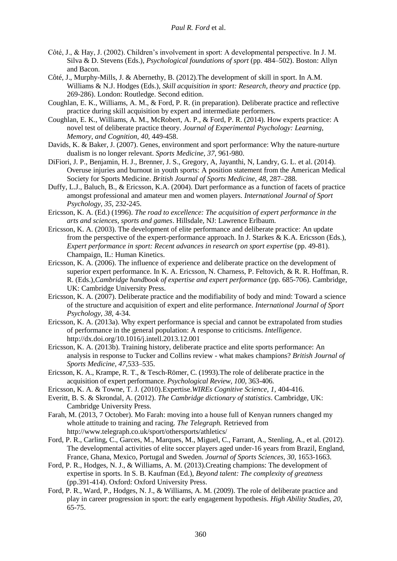- Côté, J., & Hay, J. (2002). Children's involvement in sport: A developmental perspective. In J. M. Silva & D. Stevens (Eds.), *Psychological foundations of sport* (pp. 484–502). Boston: Allyn and Bacon.
- Côté, J., Murphy-Mills, J. & Abernethy, B. (2012).The development of skill in sport. In A.M. Williams & N.J. Hodges (Eds.), *Skill acquisition in sport: Research, theory and practice* (pp. 269-286). London: Routledge. Second edition.
- Coughlan, E. K., Williams, A. M., & Ford, P. R. (in preparation). Deliberate practice and reflective practice during skill acquisition by expert and intermediate performers.
- Coughlan, E. K., Williams, A. M., McRobert, A. P., & Ford, P. R. (2014). How experts practice: A novel test of deliberate practice theory. *Journal of Experimental Psychology: Learning, Memory, and Cognition, 40,* 449-458.
- Davids, K. & Baker, J. (2007). Genes, environment and sport performance: Why the nature-nurture dualism is no longer relevant. *Sports Medicine, 37*, 961-980.
- DiFiori, J. P., Benjamin, H. J., Brenner, J. S., Gregory, A, Jayanthi, N, Landry, G. L. et al. (2014). Overuse injuries and burnout in youth sports: A position statement from the American Medical Society for Sports Medicine. *British Journal of Sports Medicine, 48*, 287–288.
- Duffy, L.J., Baluch, B., & Ericsson, K.A. (2004). Dart performance as a function of facets of practice amongst professional and amateur men and women players. *International Journal of Sport Psychology, 35*, 232-245.
- Ericsson, K. A. (Ed.) (1996). *The road to excellence: The acquisition of expert performance in the arts and sciences, sports and games*. Hillsdale, NJ: Lawrence Erlbaum.
- Ericsson, K. A. (2003). The development of elite performance and deliberate practice: An update from the perspective of the expert-performance approach. In J. Starkes & K.A. Ericsson (Eds.), *Expert performance in sport: Recent advances in research on sport expertise* (pp. 49-81). Champaign, IL: Human Kinetics.
- Ericsson, K. A. (2006). The influence of experience and deliberate practice on the development of superior expert performance. In K. A. Ericsson, N. Charness, P. Feltovich, & R. R. Hoffman, R. R. (Eds.),*Cambridge handbook of expertise and expert performance* (pp. 685-706). Cambridge, UK: Cambridge University Press.
- Ericsson, K. A. (2007). Deliberate practice and the modifiability of body and mind: Toward a science of the structure and acquisition of expert and elite performance. *International Journal of Sport Psychology, 38,* 4-34.
- Ericsson, K. A. (2013a). Why expert performance is special and cannot be extrapolated from studies of performance in the general population: A response to criticisms. *Intelligence*. http://dx.doi.org/10.1016/j.intell.2013.12.001
- Ericsson, K. A. (2013b). Training history, deliberate practice and elite sports performance: An analysis in response to Tucker and Collins review - what makes champions? *British Journal of Sports Medicine, 47,*533–535.
- Ericsson, K. A., Krampe, R. T., & Tesch-Römer, C. (1993).The role of deliberate practice in the acquisition of expert performance. *Psychological Review, 100,* 363-406.
- Ericsson, K. A. & Towne, T. J. (2010).Expertise.*WIREs Cognitive Science, 1*, 404-416.
- Everitt, B. S. & Skrondal, A. (2012). *The Cambridge dictionary of statistics*. Cambridge, UK: Cambridge University Press.
- Farah, M. (2013, 7 October). Mo Farah: moving into a house full of Kenyan runners changed my whole attitude to training and racing. *The Telegraph.* Retrieved from <http://www.telegraph.co.uk/sport/othersports/athletics/>
- Ford, P. R., Carling, C., Garces, M., Marques, M., Miguel, C., Farrant, A., Stenling, A., et al. (2012). The developmental activities of elite soccer players aged under-16 years from Brazil, England, France, Ghana, Mexico, Portugal and Sweden. *Journal of Sports Sciences, 30*, 1653-1663.
- Ford, P. R., Hodges, N. J., & Williams, A. M. (2013).Creating champions: The development of expertise in sports. In S. B. Kaufman (Ed.), *Beyond talent: The complexity of greatness* (pp.391-414). Oxford: Oxford University Press.
- Ford, P. R., Ward, P., Hodges, N. J., & Williams, A. M. (2009). The role of deliberate practice and play in career progression in sport: the early engagement hypothesis. *High Ability Studies, 20*, 65-75.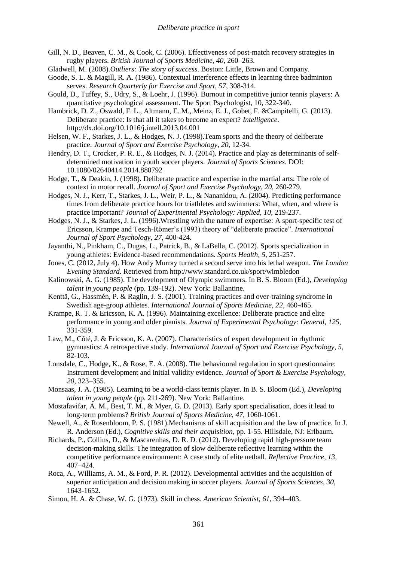- Gill, N. D., Beaven, C. M., & Cook, C. (2006). Effectiveness of post-match recovery strategies in rugby players. *British Journal of Sports Medicine, 40*, 260–263.
- Gladwell, M. (2008).*Outliers: The story of success*. Boston: Little, Brown and Company.
- Goode, S. L. & Magill, R. A. (1986). Contextual interference effects in learning three badminton serves. *Research Quarterly for Exercise and Sport, 57*, 308-314.
- Gould, D., Tuffey, S., Udry, S., & Loehr, J. (1996). Burnout in competitive junior tennis players: A quantitative psychological assessment. The Sport Psychologist, 10, 322-340.
- Hambrick, D. Z., Oswald, F. L., Altmann, E. M., Meinz, E. J., Gobet, F. &Campitelli, G. (2013). Deliberate practice: Is that all it takes to become an expert? *Intelligence*. <http://dx.doi.org/10.1016/j.intell.2013.04.001>
- Helsen, W. F., Starkes, J. L., & Hodges, N. J. (1998).Team sports and the theory of deliberate practice. *Journal of Sport and Exercise Psychology*, *20*, 12-34.
- Hendry, D. T., Crocker, P. R. E., & Hodges, N. J. (2014). Practice and play as determinants of selfdetermined motivation in youth soccer players. *Journal of Sports Sciences*. DOI: 10.1080/02640414.2014.880792
- Hodge, T., & Deakin, J. (1998). Deliberate practice and expertise in the martial arts: The role of context in motor recall. *Journal of Sport and Exercise Psychology*, *20*, 260-279.
- Hodges, N. J., Kerr, T., Starkes, J. L., Weir, P. L., & Nananidou, A. (2004). Predicting performance times from deliberate practice hours for triathletes and swimmers: What, when, and where is practice important? *Journal of Experimental Psychology: Applied, 10*, 219-237.
- Hodges, N. J., & Starkes, J. L. (1996).Wrestling with the nature of expertise: A sport-specific test of Ericsson, Krampe and Tesch-Römer's (1993) theory of "deliberate practice". *International Journal of Sport Psychology*, *27*, 400-424.
- Jayanthi, N., Pinkham, C., Dugas, L., Patrick, B., & LaBella, C. (2012). Sports specialization in young athletes: Evidence-based recommendations. *Sports Health, 5*, 251-257.
- Jones, C. (2012, July 4). How Andy Murray turned a second serve into his lethal weapon. *The London Evening Standard.* Retrieved fro[m http://www.standard.co.uk/sport/wimbledon](http://www.standard.co.uk/sport/wimbledon)
- Kalinowski, A. G. (1985). The development of Olympic swimmers. In B. S. Bloom (Ed.), *Developing talent in young people* (pp. 139-192). New York: Ballantine.
- Kenttä, G., Hassmén, P. & Raglin, J. S. (2001). Training practices and over-training syndrome in Swedish age-group athletes. *International Journal of Sports Medicine, 22*, 460-465.
- Krampe, R. T. & Ericsson, K. A. (1996). Maintaining excellence: Deliberate practice and elite performance in young and older pianists. *Journal of Experimental Psychology: General, 125*, 331-359.
- Law, M., Côté, J. & Ericsson, K. A. (2007). Characteristics of expert development in rhythmic gymnastics: A retrospective study. *International Journal of Sport and Exercise Psychology, 5*, 82-103.
- Lonsdale, C., Hodge, K., & Rose, E. A. (2008). The behavioural regulation in sport questionnaire: Instrument development and initial validity evidence. *Journal of Sport & Exercise Psychology, 20*, 323–355.
- Monsaas, J. A. (1985). Learning to be a world-class tennis player. In B. S. Bloom (Ed.), *Developing talent in young people* (pp. 211-269). New York: Ballantine.
- Mostafavifar, A. M., Best, T. M., & Myer, G. D. (2013). Early sport specialisation, does it lead to long-term problems? *British Journal of Sports Medicine, 47*, 1060-1061.
- Newell, A., & Rosenbloom, P. S. (1981).Mechanisms of skill acquisition and the law of practice. In J. R. Anderson (Ed.), *Cognitive skills and their acquisition*, pp. 1-55. Hillsdale, NJ: Erlbaum.
- Richards, P., Collins, D., & Mascarenhas, D. R. D. (2012). Developing rapid high-pressure team decision-making skills. The integration of slow deliberate reflective learning within the competitive performance environment: A case study of elite netball. *Reflective Practice, 13*, 407–424.
- Roca, A., Williams, A. M., & Ford, P. R. (2012). Developmental activities and the acquisition of superior anticipation and decision making in soccer players. *Journal of Sports Sciences, 30,*  1643-1652.
- Simon, H. A. & Chase, W. G. (1973). Skill in chess. *American Scientist, 61*, 394–403.